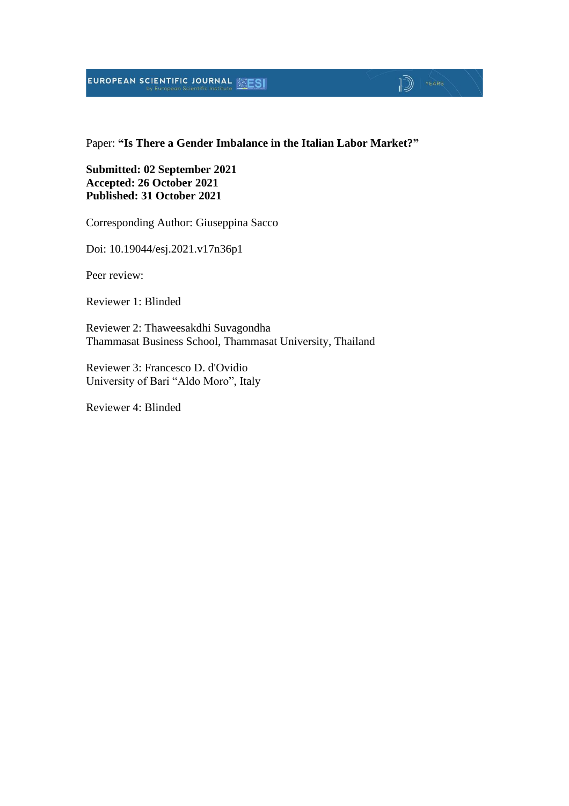### **EUROPEAN SCIENTIFIC JOURNAL ESESI**

#### Paper: **"Is There a Gender Imbalance in the Italian Labor Market?"**

 $\mathbb{D}$   $\mathbb{P}$   $\mathbb{P}$   $\mathbb{P}$   $\mathbb{P}$   $\mathbb{P}$   $\mathbb{P}$   $\mathbb{P}$   $\mathbb{P}$   $\mathbb{P}$   $\mathbb{P}$   $\mathbb{P}$   $\mathbb{P}$   $\mathbb{P}$   $\mathbb{P}$   $\mathbb{P}$   $\mathbb{P}$   $\mathbb{P}$   $\mathbb{P}$   $\mathbb{P}$   $\mathbb{P}$   $\mathbb{P}$   $\mathbb{P}$   $\mathbb{P}$   $\mathbb{$ 

#### **Submitted: 02 September 2021 Accepted: 26 October 2021 Published: 31 October 2021**

Corresponding Author: Giuseppina Sacco

Doi: 10.19044/esj.2021.v17n36p1

Peer review:

Reviewer 1: Blinded

Reviewer 2: Thaweesakdhi Suvagondha Thammasat Business School, Thammasat University, Thailand

Reviewer 3: Francesco D. d'Ovidio University of Bari "Aldo Moro", Italy

Reviewer 4: Blinded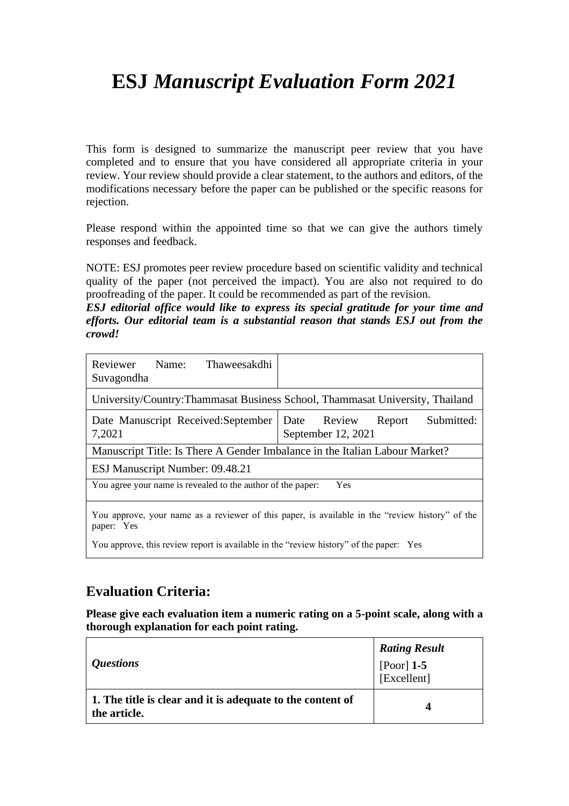## **ESJ** *Manuscript Evaluation Form 2021*

This form is designed to summarize the manuscript peer review that you have completed and to ensure that you have considered all appropriate criteria in your review. Your review should provide a clear statement, to the authors and editors, of the modifications necessary before the paper can be published or the specific reasons for rejection.

Please respond within the appointed time so that we can give the authors timely responses and feedback.

NOTE: ESJ promotes peer review procedure based on scientific validity and technical quality of the paper (not perceived the impact). You are also not required to do proofreading of the paper. It could be recommended as part of the revision.

*ESJ editorial office would like to express its special gratitude for your time and efforts. Our editorial team is a substantial reason that stands ESJ out from the crowd!*

| Reviewer<br>Name:<br>Thaweesakdhi<br>Suvagondha                                                               |                                                              |  |  |
|---------------------------------------------------------------------------------------------------------------|--------------------------------------------------------------|--|--|
| University/Country: Thammasat Business School, Thammasat University, Thailand                                 |                                                              |  |  |
| Date Manuscript Received: September<br>7,2021                                                                 | Submitted:<br>Date<br>Review<br>Report<br>September 12, 2021 |  |  |
| Manuscript Title: Is There A Gender Imbalance in the Italian Labour Market?                                   |                                                              |  |  |
| ESJ Manuscript Number: 09.48.21                                                                               |                                                              |  |  |
| You agree your name is revealed to the author of the paper:<br>Yes                                            |                                                              |  |  |
| You approve, your name as a reviewer of this paper, is available in the "review history" of the<br>paper: Yes |                                                              |  |  |

You approve, this review report is available in the "review history" of the paper: Yes

### **Evaluation Criteria:**

**Please give each evaluation item a numeric rating on a 5-point scale, along with a thorough explanation for each point rating.**

|                                                                            | <b>Rating Result</b>        |
|----------------------------------------------------------------------------|-----------------------------|
| <i>Questions</i>                                                           | [Poor] $1-5$<br>[Excellent] |
| 1. The title is clear and it is adequate to the content of<br>the article. | 4                           |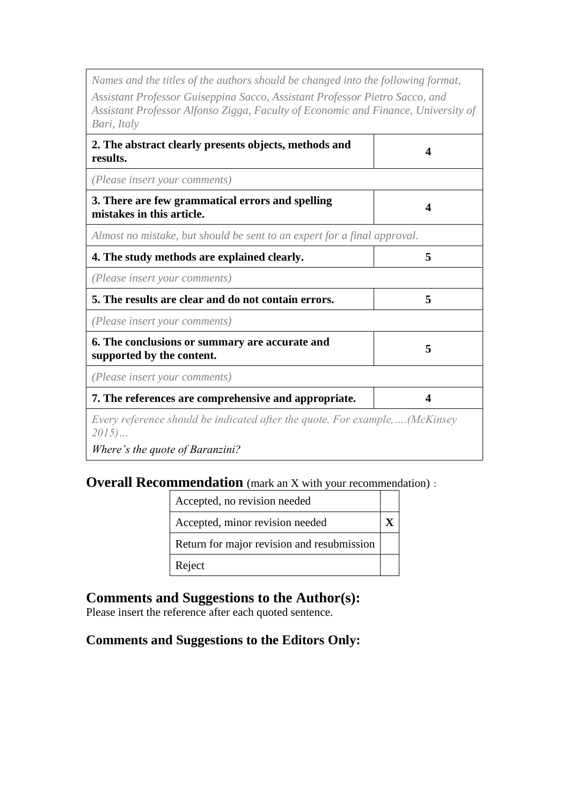*Names and the titles of the authors should be changed into the following format,*

*Assistant Professor Guiseppina Sacco, Assistant Professor Pietro Sacco, and Assistant Professor Alfonso Zigga, Faculty of Economic and Finance, University of Bari, Italy*

| 2. The abstract clearly presents objects, methods and<br>results.                    | Δ |
|--------------------------------------------------------------------------------------|---|
| (Please insert your comments)                                                        |   |
| 3. There are few grammatical errors and spelling<br>mistakes in this article.        |   |
| Almost no mistake, but should be sent to an expert for a final approval.             |   |
| 4. The study methods are explained clearly.                                          | 5 |
| (Please insert your comments)                                                        |   |
| 5. The results are clear and do not contain errors.                                  | 5 |
| (Please insert your comments)                                                        |   |
| 6. The conclusions or summary are accurate and<br>supported by the content.          | 5 |
| (Please insert your comments)                                                        |   |
| 7. The references are comprehensive and appropriate.                                 |   |
| Every reference should be indicated after the quote. For example,(McKinsey<br>$2015$ |   |
| Where's the quote of Baranzini?                                                      |   |

### **Overall Recommendation** (mark an X with your recommendation):

| Accepted, no revision needed               |  |
|--------------------------------------------|--|
| Accepted, minor revision needed            |  |
| Return for major revision and resubmission |  |
| Reject                                     |  |

### **Comments and Suggestions to the Author(s):**

Please insert the reference after each quoted sentence.

#### **Comments and Suggestions to the Editors Only:**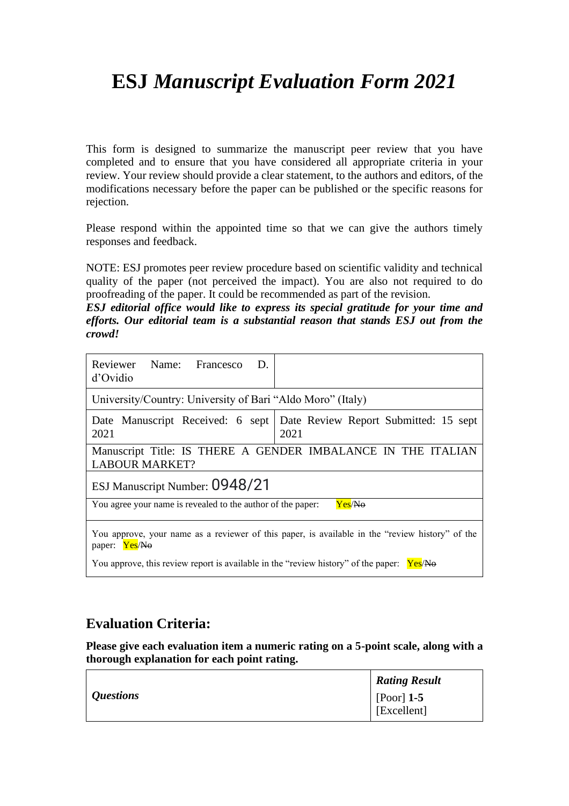## **ESJ** *Manuscript Evaluation Form 2021*

This form is designed to summarize the manuscript peer review that you have completed and to ensure that you have considered all appropriate criteria in your review. Your review should provide a clear statement, to the authors and editors, of the modifications necessary before the paper can be published or the specific reasons for rejection.

Please respond within the appointed time so that we can give the authors timely responses and feedback.

NOTE: ESJ promotes peer review procedure based on scientific validity and technical quality of the paper (not perceived the impact). You are also not required to do proofreading of the paper. It could be recommended as part of the revision.

*ESJ editorial office would like to express its special gratitude for your time and efforts. Our editorial team is a substantial reason that stands ESJ out from the crowd!*

| Reviewer Name: Francesco D.<br>d'Ovidio                                                                          |                                                                                  |  |
|------------------------------------------------------------------------------------------------------------------|----------------------------------------------------------------------------------|--|
| University/Country: University of Bari "Aldo Moro" (Italy)                                                       |                                                                                  |  |
| 2021                                                                                                             | Date Manuscript Received: 6 sept   Date Review Report Submitted: 15 sept<br>2021 |  |
| Manuscript Title: IS THERE A GENDER IMBALANCE IN THE ITALIAN<br><b>LABOUR MARKET?</b>                            |                                                                                  |  |
| ESJ Manuscript Number: 0948/21                                                                                   |                                                                                  |  |
| Yes/No<br>You agree your name is revealed to the author of the paper:                                            |                                                                                  |  |
| You approve, your name as a reviewer of this paper, is available in the "review history" of the<br>paper: Yes/No |                                                                                  |  |
| You approve, this review report is available in the "review history" of the paper: $Yes/No$                      |                                                                                  |  |

### **Evaluation Criteria:**

**Please give each evaluation item a numeric rating on a 5-point scale, along with a thorough explanation for each point rating.**

|                  | <b>Rating Result</b>                      |
|------------------|-------------------------------------------|
| <i>Questions</i> | $\vert$ [Poor] 1-5<br>$\vert$ [Excellent] |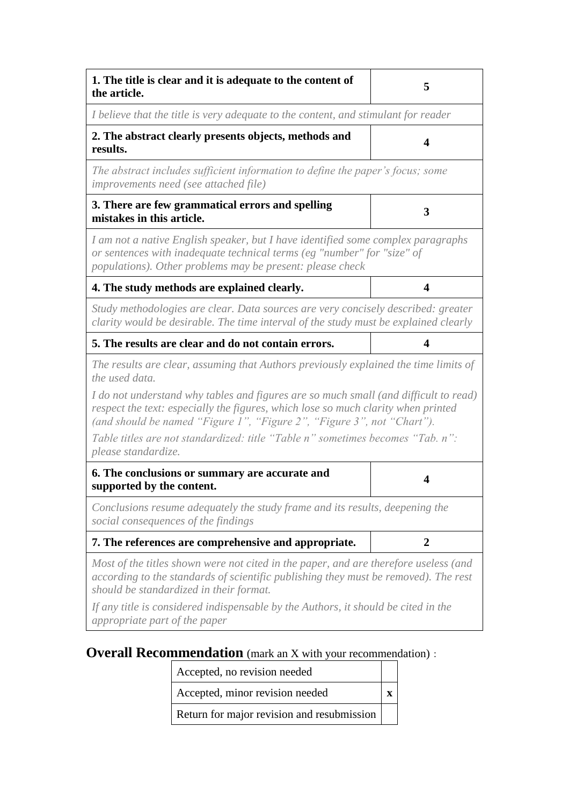| 1. The title is clear and it is adequate to the content of<br>the article.                                                                                                                                                                          | 5                |
|-----------------------------------------------------------------------------------------------------------------------------------------------------------------------------------------------------------------------------------------------------|------------------|
| I believe that the title is very adequate to the content, and stimulant for reader                                                                                                                                                                  |                  |
| 2. The abstract clearly presents objects, methods and<br>results.                                                                                                                                                                                   | 4                |
| The abstract includes sufficient information to define the paper's focus; some<br>improvements need (see attached file)                                                                                                                             |                  |
| 3. There are few grammatical errors and spelling<br>mistakes in this article.                                                                                                                                                                       | 3                |
| I am not a native English speaker, but I have identified some complex paragraphs<br>or sentences with inadequate technical terms (eg "number" for "size" of<br>populations). Other problems may be present: please check                            |                  |
| 4. The study methods are explained clearly.                                                                                                                                                                                                         | 4                |
| Study methodologies are clear. Data sources are very concisely described: greater<br>clarity would be desirable. The time interval of the study must be explained clearly                                                                           |                  |
| 5. The results are clear and do not contain errors.                                                                                                                                                                                                 | 4                |
| The results are clear, assuming that Authors previously explained the time limits of<br>the used data.                                                                                                                                              |                  |
| I do not understand why tables and figures are so much small (and difficult to read)<br>respect the text: especially the figures, which lose so much clarity when printed<br>(and should be named "Figure 1", "Figure 2", "Figure 3", not "Chart"). |                  |
| Table titles are not standardized: title "Table n" sometimes becomes "Tab. n":<br>please standardize.                                                                                                                                               |                  |
| 6. The conclusions or summary are accurate and<br>supported by the content.                                                                                                                                                                         | 4                |
| Conclusions resume adequately the study frame and its results, deepening the<br>social consequences of the findings                                                                                                                                 |                  |
| 7. The references are comprehensive and appropriate.                                                                                                                                                                                                | $\boldsymbol{2}$ |
| Most of the titles shown were not cited in the paper, and are therefore useless (and<br>according to the standards of scientific publishing they must be removed). The rest<br>should be standardized in their format.                              |                  |
| If any title is considered indispensable by the Authors, it should be cited in the<br>appropriate part of the paper                                                                                                                                 |                  |

# **Overall Recommendation** (mark an X with your recommendation):

| Accepted, no revision needed               |  |
|--------------------------------------------|--|
| Accepted, minor revision needed            |  |
| Return for major revision and resubmission |  |